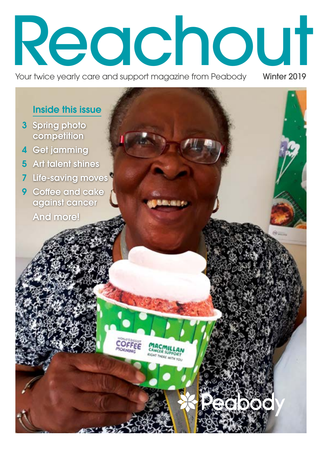# Your twice vearly care and support magazine from Peabody Winter 2019

Your twice yearly care and support magazine from Peabody

### Inside this issue

- 3 Spring photo competition
- 4 Get jamming
- Art talent shines 5
- Life-saving moves 7
- Coffee and cake against cancer 9
	- And more!

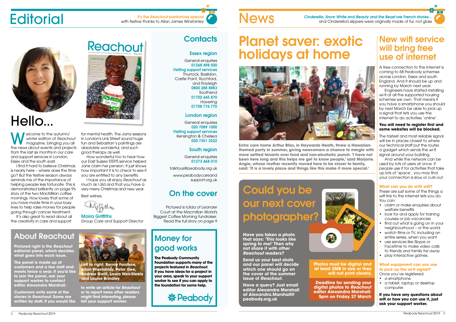# **Editorial**



# Hello...

It's the *Reachout* pantomine special

with festive thanks to Allan James Winstanley

*Cinderella*, *Snow White* and *Beauty and the Beast* are French stories... and Cinderella's slippers were originally made of fur, not glass

# News

### New wifi service will bring free use of internet

The fastest and most reliable signal will be in places closest to where our technical staff put the router, a gadget which sends the wi-fi signal around your building.

A free connection to the internet is coming to 68 Peabody schemes across London, Essex and south England. And it should be up and running by March next year.

Engineers have started installing wi-fi at all the supported housing schemes we own. That means if you have a smartphone you should by next March be able to pick up a signal that lets you use the internet to do activities 'online'.

These are just some of the things a wifi link to the internet lets you do. You can:

#### **You will need to register first and some websites will be blocked.**

- claim or make enquiries about welfare benefits
- look for and apply for training courses or job vacancies
- find out what is going on in your neighbourhood – or the world
- watch films or TV, including an entire series, when you want
- use services like Skype or Facetime to make video calls to friends and family far away
- play interactive games.

#### **What equipment can you use to pick up the wi-fi signal?** Once you've reaistered:

- a smartphone
- a tablet, laptop or desktop computer.

And while the network can be used by lots of users at once, if people use it for activities that take up lots of 'space', you may find your connection is slow or cuts out.

### **What can you do with wifi?**

Welcome to the autumn/<br>winter edition of Reach<br>the power shout events and project winter edition of *Reachout* magazine, bringing you all the news about events and projects from the last six months in our care and support services in London, Essex and the south east.

> **If you have any questions about wifi or how you can use it, just ask your support worker.**

### About Reachout

**Havering** 01708 776 770

**Pictured right is the** *Reachout* **editorial panel, which decides what goes into each issue.** 

**The panel is made up of customers and a few staff and meets twice a year. If you'd like to join the panel, ask your support worker to contact editor Alexandra Marshall.**

**Customers write some of the stories in** *Reachout***. Some are written by staff. If you would like** 



**to write an article for** *Reachout*  **or to report news other readers might find interesting, please tell your support worker.** 

### **Contacts**

# Could you be our next cover photographer?



I find it hard to believe Christmas is nearly here – where does the time go? But the festive season always reminds me of the importance of helping people less fortunate. This is demonstrated brilliantly on page 9's story of the two MacMillan coffee mornings. How lovely that some of you have made time in your busy lives to help raise money for people going through cancer treatment.

It's also great to read about all the creativity in care and support

for mental health. The Jamz sessions in London's Link Street sound huge fun and Sebastian's paintings are absolutely wonderful, and such good therapy as well.

How wonderful too to hear how our East Sussex STEPS service helped Jane claim her pension. It just shows how important it is to check to see if you are entitled to any benefits.

I hope you all enjoy *Reachout* as much as I did and that you have a very merry Christmas and new year.

Best wishes,

Moira Griffiths Group Care and Support Director

#### Essex region

General enquiries 01268 498 500 Visiting support services Thurrock, Basildon, Castle Point, Rochford, and Rayleigh 0800 288 8883 Southend 01702 445 870

### London region

General enquiries 020 7089 1000 Visiting support services Kensington & Chelsea 020 7351 2522

#### South region

General enquiries 01273 468 010

talktous@peabody.org.uk

www.peabodycareand support.org.uk

### On the cover

Pictured is Icilda of Leander Court at the Macmillan World's Biggest Coffee Morning fundraiser. Read the full story on page 9



**The Peabody Community Foundation supports many of the projects featured in** *Reachout***. If you have ideas for a project in your area, speak to your support worker to see if you can apply to the foundation for some help.**

**※Peabody** 

### Money for good works

**Photos must be digital and at least 2MB in size or they** 

**will not print clearly.**

**Deadline for sending your digital photos to** *Reachout*  **editor Alexandra Marshall: 5pm on Friday 27 March**

**Have you taken a photo that says: 'This looks like spring to me!' Then why not share it with other**  *Reachout* **readers?** 

**Send us your best shots and our panel will decide which one should go on the cover of the summer issue of** *Reachout***.**

**Have a query? Just email editor Alexandra Marshall at Alexandra.Marshall@ peabody.org.uk**

# Planet saver: exotic holidays at home



**Extra care home Arthur Bliss, in Haywards Heath, threw a Hawaiianthemed party in summer, giving newcomers a chance to mingle with more settled tenants over food and non-alcoholic punch. 'I have not been here long and this helps me get to know people,' said Marjorie. Angie, whose mother recently moved here to be closer to family, said: 'It is a lovely place and things like this make it more special.'**

**Left to right: Bernie Forshaw, Allan Winstanley, Peter Gee, Andrew Gwilt, Laura Weir-Steele and Louise Brindley**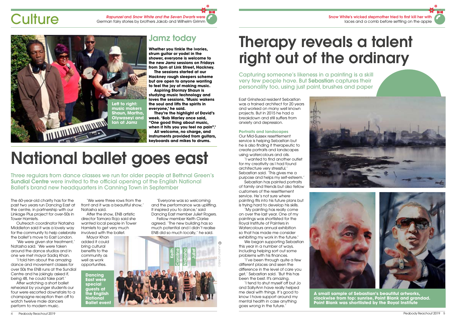# **Culture**

Snow White's wicked stepmother tried to first kill her with laces and a comb before settling on the apple



*Rapunzel* and *Snow White and the Seven Dwarfs* were German fairy stories by brothers Jakob and Wilhelm Grimm

Three regulars from dance classes we run for older people at Bethnal Green's Sundial Centre were invited to the official opening of the English National Ballet's brand new headquarters in Canning Town in September

The 60-year-old charity has for the past two years run Dancing East at the centre, in partnership with our Linkage Plus project for over-50s in Tower Hamlets.

Outreach coordinator Natasha Middleton said it was a lovely way for the community to help celebrate the ballet's move to East London.

'We were given star treatment,' Natasha said. 'We were taken around the dance studios and in one we met mayor Sadiq Khan.

'I told him about the amazing dance and movement classes for over 50s the ENB runs at the Sundial Centre and he jokingly asked if, being 48, he could take part.'

After watching a short ballet rehearsal by younger students our four were escorted downstairs to a champagne reception then off to watch twelve male dancers perform to modern music.

'We were three rows from the front and it was a beautiful show,' Natasha said.

After the show, ENB artistic director Tamara Rojo said she wanted local people in Tower Hamlets to get very much involved with the ballet.

Mayor Khan added it could bring cultural benefits to the community as well as work opportunities.

'Everyone was so welcoming and the performance was uplifting. It inspired you to dance,' said Dancing East member Juliet Rogers. Fellow member Keith Clarke agreed. 'The new building has so much potential and I didn't realise ENB did so much locally,' he said.

# National ballet goes east

### Jamz today

We began supporting Sebastian this year in a number of ways, including helping sort out some problems with his finances.

**Whether you tinkle the ivories, strum guitar or yodel in the shower, everyone is welcome to the new Jamz sessions on Fridays from 3pm at Link Street, Hackney.**

**The sessions started at our Hackney rough sleepers scheme but are open to anyone wanting to feel the joy of making music.** 

**Dancing East were special guests at the English National Ballet event** 

**Aspiring Stormzy Shaun is studying music technology and loves the sessions. 'Music wakens the soul and lifts the spirits in everyone,' he said.**

**They're the highlight of David's week. 'Bob Marley once said, "One good thing about music, when it hits you you feel no pain".'**

**All welcome, no charge, and instruments provided from guitars, keyboards and mikes to drums.** 

Capturing someone's likeness in a painting is a skill very few people have. But Sebastian captures their personality too, using just paint, brushes and paper

East Grinstead resident Sebastian was a trained architect for 20 years and worked on many well known projects. But in 2015 he had a breakdown and still suffers from anxiety and depression.

#### **Portraits and landscapes**

Our Mid-Sussex resettlement service is helping Sebastian but he is also finding it therapeutic to create portraits and landscapes using watercolours and oils.

'I wanted to find another outlet for my creativity as I had found architecture very stressful,' Sebastian said. 'This gives me a purpose and helps my self-esteem.'

Sebastian has painted portraits of family and friends but also fellow customers of the resettlement service. He's not sure where painting fits into his future plans but is trying hard to develop his skills.

'My painting has really come on over the last year. One of my paintings was shortlisted for the Royal Institute of Painters in Watercolours annual exhibition so that has made me consider exhibiting my work in the future.'

'I've been through quite a few different places and seen the difference in the level of care you get,' Sebastian said. 'But this has been the best. It's amazing.

'I tend to shut myself off but Jo and SallyAnn have really helped me deal with things. It's good to know I have support around my mental health in case anything goes wrong in the future.'





# Therapy reveals a talent right out of the ordinary

**A small sample of Sebastian's beautiful artworks, clockwise from top: sunrise, Point Blank and grandad. Point Blank was shortlisted by the Royal Institute**



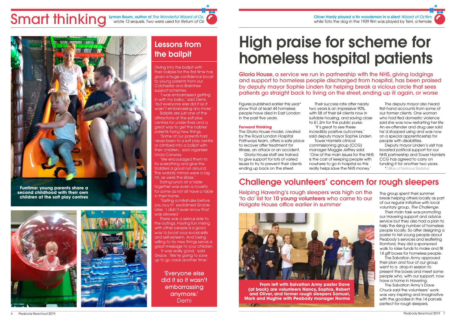### Lyman Baum, author of *The Wonderful Wizard of Oz*, wrote 12 sequels. Two were used for *Return of Oz*

Oliver Hardy played a tin woodsman in a silent *Wizard of Oz* film while Toto the dog in the 1939 film was played by Terri, a female

Gloria House, a service we run in partnership with the NHS, giving lodgings and support to homeless people discharged from hospital, has been praised by deputy mayor Sophie Linden for helping break a vicious circle that sees patients go straight back to living on the street, ending up ill again, or worse

Figures published earlier this year\* show that at least 44 homeless people have died in East London in the past five years.

#### **Forward thinking**

The Gloria House model, created by the Royal London Hospital Pathways team, offers a safe place to recover after treatment for iillness, an attack or an accident.

Gloria House staff are trained to give support for lots of varied issues to try to prevent their clients ending up back on the street.

Their success rate after nearly two years is an impressive 90%, with 58 of their 64 clients now in suitable housing, and saving close to £1.2m for the public purse. 'It's great to see these incredibly positive outcomes,' said deputy mayor Sophie Linden. Tower Hamlets clinical commissioning group (CCG) manager Maggie Jeffrey said: 'One of the main issues for the NHS is the cost of keeping people with nowhere to go in hospital so this

really helps save the NHS money.'

'It was really good,' said Grace. 'We're going to save up to go back another time.

The deputy mayor also heard first-hand accounts from some of our former clients. One woman who had fled domestic violence said she was now restarting her life. An ex-offender and drug user said he'd stopped using and was now on a special apprenticeship for people with disabilities.

Deputy mayor Linden's visit has boosted political support for our NHS partnership and Tower Hamlets CCG has agreed to carry on funding it for another two years. \**Office of National Statistics*

Their main task was promoting our Havering support and advice service but they also had a plan to help the rising number of homeless people locally. So after designing a poster to tell young people about Peabody's services and leafleting Romford, they did a sponsored walk to raise funds to make and fill 14 gift boxes for homeless people.

# High praise for scheme for homeless hospital patients

# Smart thinking



### Lessons from the ballpit

Diving into the ballpit with their babies for the first time has given a huge confidence boost to young parents from our Colchester and Braintree support schemes.

'I was embarrassed getting in with my baby,' said Demi, 'but everyone else did it so it wasn't embarrassing any more.'

Ballpits are just one of the attractions at the soft play centres for under-fives and a great way to get the babies' parents trying new things.

'Some of our parents had never been to a soft play centre or climbed into a ballpit with their children,' said organiser Linda Conway.

'We encouraged them to try everything and give the toddlers a good run around. The wobbly mirrors were a big hit, as were the slides.'

Eating lunch at a table together was even a novelty for some as not all have a table in their home.

'Tasting a milkshake before you buy it!' exclaimed Gracie later. 'I didn't even know that was allowed.'

There was a serious side to the outings. Having fun mixing with other people is a good way to boost your social skills and self-esteem. And being willing to try new things sends a great message to your children.

'Everyone else did it so it wasn't embarrassing anymore.' Demi

**Funtime: young parents share a second childhood with their own children at the soft play centres** 





### Challenge volunteers' concern for rough sleepers

Helping Havering's rough sleepers was high on the 'to do' list for 10 young volunteers who came to our Holgate House office earlier in summer

The group spent their summer break helping others locally as part of our regular initiative with local voluntary group, *The Challenge*.

The Salvation Army approved their plan and four of our group went to a drop-in session to present the boxes and meet some people who, with our support, now have a home in Havering.

The Salvation Army's Dave Chuck said the volunteers' work was very inspiring and imaginative with the goodies in the 14 parcels perfect for rough sleepers.

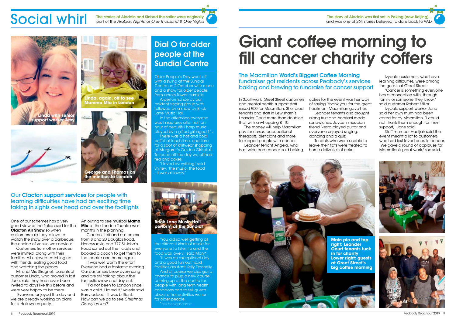The stories of Aladdin and Sinbad the sailor were originally part of the *Arabian Nights*, or *One Thousand & One Nights* The stories of Aladdin and Sinbad the sailor were originally<br>
Social Whirl The stories of Aladdin and Sinbad the sailor were originally<br>
and was one of 264 stories believed to date back to 9AD

### Our Clacton support services for people with learning difficulties have had an exciting time taking in sights over head and over the footlights

Mr and Mrs Strugnell, parents of customer Linda, who moved in last June, said they had never been invited to days like this before and were very happy to be there.

One of our schemes has a very good view of the fields used for the **Clacton Air Show** so when customers said they'd love to watch the show over a barbecue, the choice of venue was obvious.

Customers from other services were invited, along with their families. All enjoyed catching up with friends, eating good food and watching the planes.

Older People's Day went off with a swing at the Sundial Centre on 2 October with music and a show for older people from across Tower Hamlets.

 Everyone enjoyed the day and we are already working on plans for a Halloween party.

An outing to see musical **Mama Mia** at the London Theatre was months in the planning.

> You did so well getting all the different kinds of music for everyone to listen to and the food was lovely,' said Mary\*.

Clacton staff and customers from 8 and 20 Douglas Road, Honeysuckle and 777 St John's Road sorted out the tickets and booked a coach to get them to the theatre and home again.

It was well worth the effort. Everyone had a fantastic evening. Our customers knew every song and are still talking about the fantastic show and day out.

'I'd not been to London since I was a child. I loved it,' Valerie said. Barry added: 'It was brilliant. Now can we go to see *Christmas Disney on Ice*?'

### Dial O for older people at the **Sundial Centre**

A performance by our resident singing group was followed by a show by Brick Lane Music Hall.

In the afternoon everyone was in raptures after half an hour of beautiful harp music played by a gifted girl aged 11.

There was a hot and cold buffet at lunchtime, and time for a spot of knitwear shopping at Margaret's Golden Girls stall. To round off the day we all had tea and cakes.

'I loved everything,' said Shirley. 'The music, the food - it was all lovely.'

'It was an exceptional day and a good turnout,' said facilities assistant Kelly Donnelly.

And of course we also got a chance to plug a new course coming up at the centre for people with long term health conditions and to tell guests about other activities we run for older people.

\**not her real name*

The Macmillan World's Biggest Coffee Morning fundraiser got residents across Peabody's services baking and brewing to fundraise for cancer support

In Southwark, Greet Street customers cakes for the event was her way and mental health support staff raised £50 for Macmillan. Sheltered tenants and staff in Lewisham's Leander Court more than doubled that with a whopping £110.

The money will help Macmillan pay for nurses, occupational therapists, dieticians and more to support people with cancer.

Leander tenant Angela, who has twice had cancer, said baking Leander tenants also brought

of saying 'thank you' for the great treatment Macmillan gave her. along fruit and Andriani made sandwiches. Joyce's musician friend Nesta played guitar and everyone enjoyed singing, dancing and a quiz.

Tenants who were unable to leave their flats were treated to home deliveries of cake.



'Cancer is something everyone has a connection with, through family or someone they know,' said customer Robert Millar.

Ivydale support worker Jane said her own mum had been cared for by Macmillan. 'I could not thank them enough for their support,' Jane said.

Staff member Hadijah said the event meant a lot to customers who had lost loved ones to cancer. 'We gave a round of applause for Macmillan's great work,' she said.

# Giant coffee morning to fill cancer charity coffers









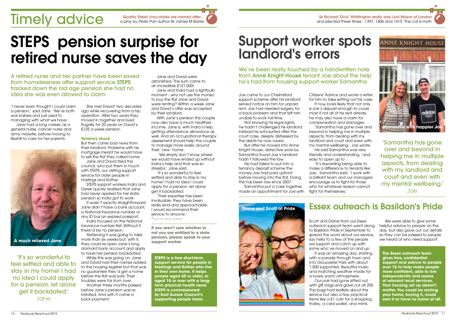Quality Street chocolates are named after... a play by *Peter Pan* author Sir James M Barrie

We've been really touched by a handwritten note from Anne Knight House tenant Joe about the help he's had from housing support worker Samantha

> **The Essex outreach team gives free, confidential support and advice to people over 16 to help make people more confident, able to live independently and aware of relevant local services. Your housing set up doesn't matter. You could be renting your home, buying it, could own it or have no home at all.**

# Timely advice

# Support worker spots landlord's errors

Samantha put a case together, made an appointment for Joe with

Joe came to our Chelmsford support scheme after his landlord served notice on him for unpaid rent. Joe had needed surgery for a back problem and that left him unable to work full-time.

Not knowing his legal rights, he hadn't challenged his landlord. Instead he sofa-surfed after the court case, deeply distressed by the debts he now owed.

But after he moved into Anne Knight House, detective work by Samantha found Joe's landlord hadn't followed the law.

He had failed to put into a tenancy deposit scheme the money Joe had paid upfront before moving into the flat. Doing this has been law since 2007.

> We were able to give some helpful advice to people on the day, but also gave out our details so they can be passed to people we heard of who need support.

Citizens' Advice and wrote a letter for him to take setting out his case. is Joe's deposit enough to cover most if not all of his rent arrears, he may also have a claim for compensation and damages. beyond in helping me in multiple aspects, from dealing with my landlord and court and even with my mental wellbeing,' Joe wrote. friendly and understanding, 'and

It now looks likely that not only 'Samantha has gone over and He said Samantha was very

easy to open up to'.

'It's rewarding being able to make a difference to tenants like Joe,' Samantha said. 'I work with a brilliant team and our managers encourage us to fight for those who for whatever reason cannot fight for themselves.'

It wasn't exactly straightforward. Jane didn't have a bank account, a National Insurance number or any ID bar an expired passport.

### Essex outreach is Basildon's Pride

Scott and Diane from our Essex outreach support team went along to Basildon Pride in September to spread the word about our service, say hello to a few of the people we support and catch up with some who've moved on and up. with a parade through town and into Gloucester Park with about 1,500 supporters. Beautiful music and matching weather made for a lovely warm atmosphere. with aift bags and gave out all 200. The bags had leaflets about the service but also a few practical items like a £1 coin for a shopping trolley, a card wallet, and mints.

It was an amazing day, starting Our pair had gone kitted out

# STEPS pension surprise for retired nurse saves the day

A retired nurse and her partner have been saved from homelessness after support service STEPS tracked down the old age pension she had no idea she was even allowed to claim

'I never even thought I could claim a pension,' said Jane. 'We're both war babies and just used to managing with what we have.'

Jane had a long career, as a general nurse, cancer nurse and army midwife, before moving to Bexhill to care for her parents.

She met David\* two decades ago while recovering from a hip operation. After two years they moved in together and lived frugally for 20 years on David's £125 a week pension.

#### **Tenancy shock**

But then came bad news from their landlord. Problems with his mortgage meant he would have to sell the flat they called home.

Jane and David tried the council, who put them in touch with STEPS, our visiting support service for older people in Hastings and Rother.

STEPS support workers Indra and Derek quickly realised that Jane had never applied for her state pension so Indra got to work.

Indra focused on the National Insurance number first. Without it there'd be no pension.

Retrieving it was going to take more than six weeks but, with it, they could re-open Jane's long dormant bank account and apply to have her pension backdated.

While this was going on, Jane and David had their names added to the housing register but that was no guarantee they'd get a home before the flat was sold. Their troubles were far from over.

Another three months passed before Jane's pension was reinstated. And with it came a back payment.

Jane and David were astonished. The sum came to an incredible £121,000!

Jane and Indra had a lightbulb moment - why not use the money to buy the flat Jane and David were renting? Within a week Jane and David's offer was accepted by their landlord.

With Jane's pension the couple now also have a much healthier income. Jane is, with Indra's help, getting attendance allowance as well. And an occupational therapy assessment should help the couple to manage more easily around their 'new' home.

 'We simply don't know where we would have ended up without Indra's help and that was so stressful,' Jane said.

'It's so wonderful to feel settled and able to stay in my home! I had no idea I could apply for a pension, let alone get it backdated.

'Their expertise has been invaluable, they have been really kind and approachable. I would recommend their service to anyone.' \**not his real name*

**If you aren't sure whether or not you are entitled to a state pension, please speak to your support worker.**

**STEPS is a free short-term support service for people in Hastings and Rother who live in their own home. It helps people aged 65 or older, or aged 18 or over with a longterm physical health need. STEPS is commissioned by East Sussex Council's supporting people team.**

'It's so wonderful to feel settled and able to stay in my home! I had no idea I could apply for a pension, let alone get it backdated.' Jane

'Samantha has gone over and beyond in helping me in multiple aspects, from dealing with my landlord and court and even with my mental wellbeing.' Joe





**Diane and Scott at Pride**